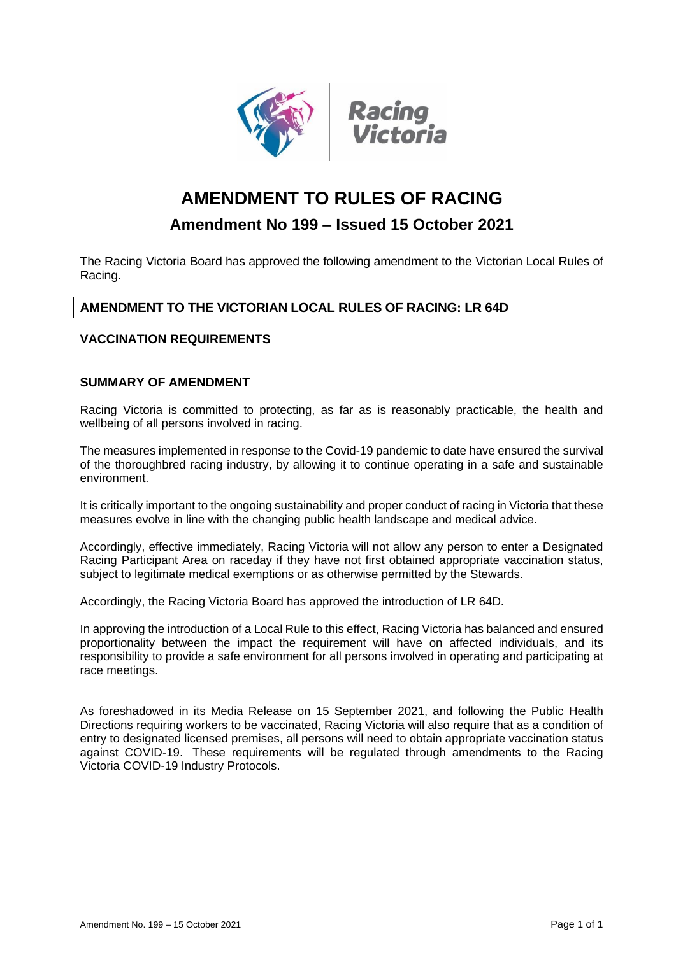



# **AMENDMENT TO RULES OF RACING**

## **Amendment No 199 – Issued 15 October 2021**

The Racing Victoria Board has approved the following amendment to the Victorian Local Rules of Racing.

### **AMENDMENT TO THE VICTORIAN LOCAL RULES OF RACING: LR 64D**

#### **VACCINATION REQUIREMENTS**

#### **SUMMARY OF AMENDMENT**

Racing Victoria is committed to protecting, as far as is reasonably practicable, the health and wellbeing of all persons involved in racing.

The measures implemented in response to the Covid-19 pandemic to date have ensured the survival of the thoroughbred racing industry, by allowing it to continue operating in a safe and sustainable environment.

It is critically important to the ongoing sustainability and proper conduct of racing in Victoria that these measures evolve in line with the changing public health landscape and medical advice.

Accordingly, effective immediately, Racing Victoria will not allow any person to enter a Designated Racing Participant Area on raceday if they have not first obtained appropriate vaccination status, subject to legitimate medical exemptions or as otherwise permitted by the Stewards.

Accordingly, the Racing Victoria Board has approved the introduction of LR 64D.

In approving the introduction of a Local Rule to this effect, Racing Victoria has balanced and ensured proportionality between the impact the requirement will have on affected individuals, and its responsibility to provide a safe environment for all persons involved in operating and participating at race meetings.

As foreshadowed in its Media Release on 15 September 2021, and following the Public Health Directions requiring workers to be vaccinated, Racing Victoria will also require that as a condition of entry to designated licensed premises, all persons will need to obtain appropriate vaccination status against COVID-19. These requirements will be regulated through amendments to the Racing Victoria COVID-19 Industry Protocols.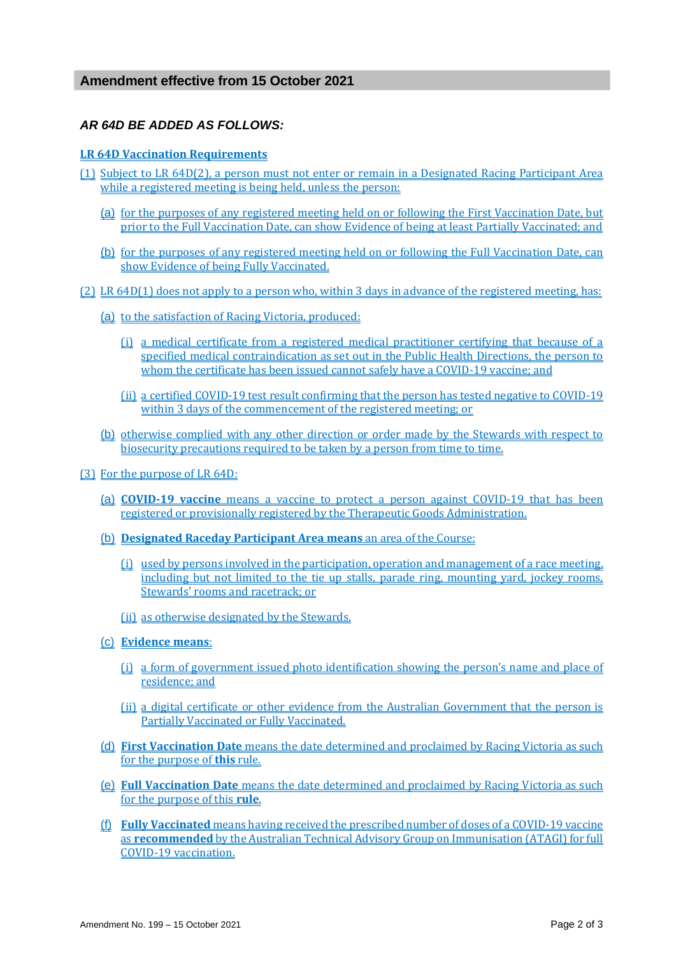#### *AR 64D BE ADDED AS FOLLOWS:*

#### **LR 64D Vaccination Requirements**

- (1) Subject to LR 64D(2), a person must not enter or remain in a Designated Racing Participant Area while a registered meeting is being held, unless the person:
	- (a) for the purposes of any registered meeting held on or following the First Vaccination Date, but prior to the Full Vaccination Date, can show Evidence of being at least Partially Vaccinated; and
	- (b) for the purposes of any registered meeting held on or following the Full Vaccination Date, can show Evidence of being Fully Vaccinated.
- (2) LR 64D(1) does not apply to a person who, within 3 days in advance of the registered meeting, has:
	- (a) to the satisfaction of Racing Victoria, produced:
		- (i) a medical certificate from a registered medical practitioner certifying that because of a specified medical contraindication as set out in the Public Health Directions, the person to whom the certificate has been issued cannot safely have a COVID-19 vaccine; and
		- (ii) a certified COVID-19 test result confirming that the person has tested negative to COVID-19 within 3 days of the commencement of the registered meeting; or
	- (b) otherwise complied with any other direction or order made by the Stewards with respect to biosecurity precautions required to be taken by a person from time to time.
- (3) For the purpose of LR 64D:
	- (a) **COVID-19 vaccine** means a vaccine to protect a person against COVID-19 that has been registered or provisionally registered by the Therapeutic Goods Administration.
	- (b) **Designated Raceday Participant Area means** an area of the Course:
		- (i) used by persons involved in the participation, operation and management of a race meeting, including but not limited to the tie up stalls, parade ring, mounting yard, jockey rooms, Stewards' rooms and racetrack; or
		- (ii) as otherwise designated by the Stewards.
	- (c) **Evidence means**:
		- (i) a form of government issued photo identification showing the person's name and place of residence; and
		- (ii) a digital certificate or other evidence from the Australian Government that the person is Partially Vaccinated or Fully Vaccinated.
	- (d) **First Vaccination Date** means the date determined and proclaimed by Racing Victoria as such for the purpose of **this** rule.
	- (e) **Full Vaccination Date** means the date determined and proclaimed by Racing Victoria as such for the purpose of this **rule**.
	- (f) **Fully Vaccinated** means having received the prescribed number of doses of a COVID-19 vaccine as **recommended** by the Australian Technical Advisory Group on Immunisation (ATAGI) for full COVID-19 vaccination.